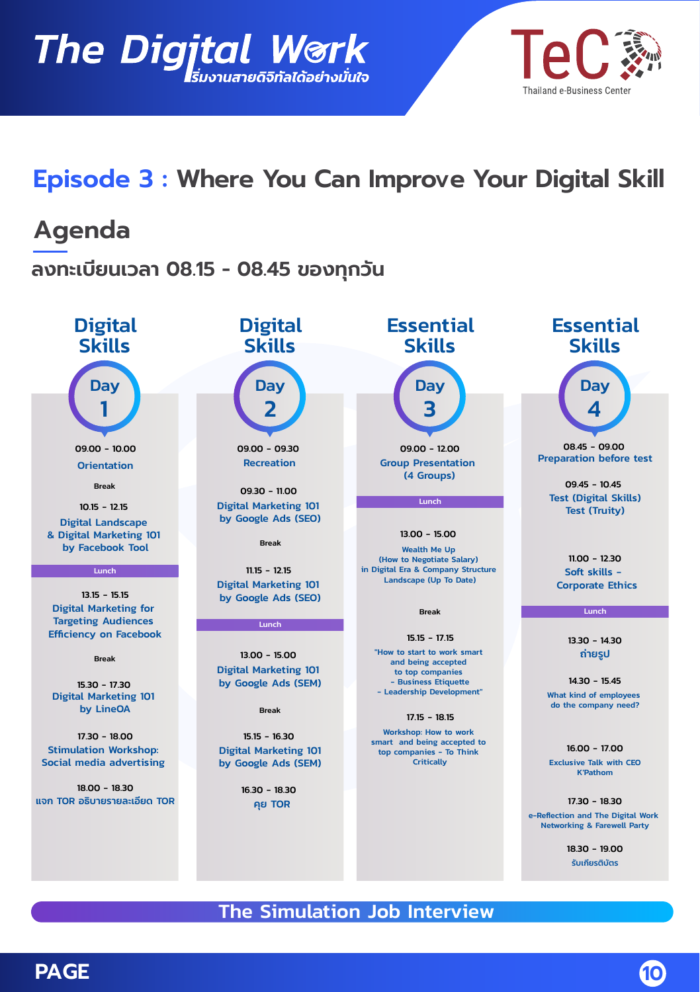



# Episode 3 : Where You Can Improve Your Digital Skill

## Agenda

ิลงทะเบียนเวลา 08.15 - 08.45 ของทุกวัน

**Day Skills Digital** 

09.00 - 10.00 Orientation

1

Break

10.15 - 12.15 Digital Landscape & Digital Marketing 101 by Facebook Tool

13.15 - 15.15 Digital Marketing for Targeting Audiences Efficiency on Facebook

#### Break

15.30 - 17.30 Digital Marketing 101 by LineOA

17.30 - 18.00 Stimulation Workshop: Social media advertising

18.00 - 18.30 แจก TOR อธิบายรายละเอียด TOR

## Skills **Digital**



09.00 - 09.30 Recreation

09.30 - 11.00 Digital Marketing 101 by Google Ads (SEO)

Break

11.15 - 12.15 Digital Marketing 101 by Google Ads (SEO)

#### $\overline{\mathsf{Lunch}}$

13.00 - 15.00 Digital Marketing 101 by Google Ads (SEM)

Break

15.15 - 16.30 Digital Marketing 101 by Google Ads (SEM)

> 16.30 - 18.30 คย TOR

## Skills **Essential**



Group Presentation (4 Groups)

Lunch

13.00 - 15.00

Wealth Me Up (How to Negotiate Salary) in Digital Era & Company Structure  $\Box$ And a Company Structure

Break

15.15 - 17.15

"How to start to work smart and being accepted to top companies - Business Etiquette sushiess Enquene<br>"The Leadership Development"

17.15 - 18.15 Workshop: How to work smart and being accepted to top companies - To Think pannes<br>Critically

## Skills **Essential**



 $OS 45 - O9 00$ Preparation before test

Q9 45 Test (Digital Skills) Test (Truity)

11.00 - 12.30 Soft skills - Corporate Ethics

Lunch

1330 - 1430 ถ่ายรูป

 $14.30 - 15.45$ What kind of employees do the company need?

16.00 - 17.00

Exclusive Talk with CEO K'Pathom

17.30 - 18.30 e-Reflection and The Digital Work Networking & Farewell Party

> 18.30 - 19.00 รับเกียรติบัตร

The Simulation Job Interview

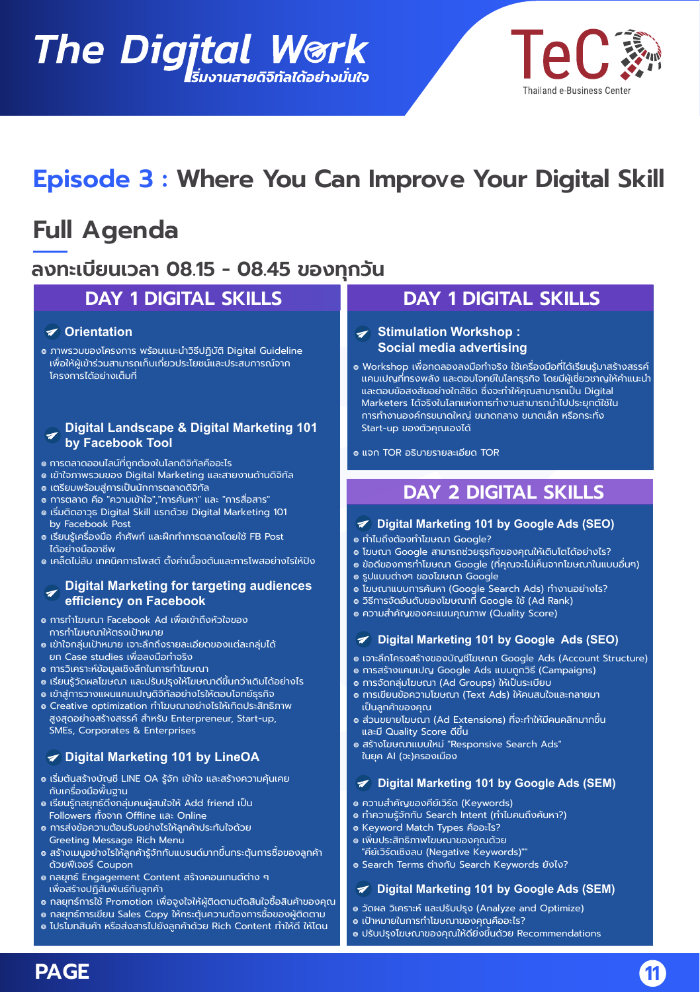# The Digjtal Work



# Episode 3 : Where You Can Improve Your Digital Skill

# Full Agenda

## ิลงทะเบียนเวลา 08.15 - 08.45 ของทุกวัน

## DAY 1 DIGITAL SKILLS

#### $\blacktriangleright$  Orientation

๏ ภาพรวมของโครงการ พร้อมแนะนำวิธีปฏิบัติ Digital Guideline ู<br>แพื่อให้ผู้เข้าร่วมสามารถเก็บเกี่ยวประโยชน์และประสบการณ์จาก ์<br>โครงการได้อย่างเต็มที่

#### Digital Landscape & Digital Marketing 101  $\overline{\mathscr{L}}$ by Facebook Tool

- ๏ การตลาดออนไลน์ที่ถกต้องในโลกดิจิทัลคืออะไร
- ๏ เข้าใจภาพรวมของ Digital Marketing และสายงานด้านดิจิทัล
- ๏ เตรียมพร้อมสู่การเป็นน<sup>ั</sup>ทการตลาดดิจิทัล
- ๏ การตลาด คือ "ความเข้าใจ"."การค้นหา" และ "การสื่อสาร"
- ɏǩǏˠˑ ljDžˠDŽǣǥǑ˯ǎ%ęčęŰÒĭĪęĭĭǪǏƮDŽ˒ǑǛ%ęčęŰÒĭeÒşĪúŰęĸčǰǯǰ by Facebook Post
- ๑ เรียบรัเครื่องมือ คำศัพท์ และฝึกทำการตลาดโดยใช้ FB Post ได้อย่างมืออาชีพ
- ๑ เคล็ดไม่ลับ เทคนิคการโพสต์ ตั้งค่าเนื้องต้นและการโพสอย่างไรให้ปัง

#### Digital Marketing for targeting audiences efficiency on Facebook

- ๏ การทำโฆษณา Facebook Ad เพื่อเข้าถึงหัวใจของ การทำโฆษณาให้ตรงเป้าหมาย
- ๏ เข้าใจกลุ่มเป้าหมาย เจาะลึกถึงรายละเอียดของแต่ละกลุ่มได้ ยก Case studies เพื่อลงมือทำจริง
- ๏ การวิเคราะห์ข้อมลเชิงลึกในการทำโฆษณา
- ๏ เรียนรู้วัดผลโฆษณา และปรับปรุงให้โฆษณาดีขึ้นกว่าเดิมได้อย่างไร
- ๏ เข้าส่การวางแผนแคมเปญดิจิทัลอย่างไรให้ตอบโจทย์ธรกิจ
- ๏ Creative optimization ทำโฆษณาอย่างไรให้เกิดประสิทธิภาพ ้ สูงสุดอย่างสร้างสรรค์ สำหรับ Enterpreneur, Start-up, SMEs, Corporates & Enterprises

#### Digital Marketing 101 by LineOA

- ๏ เริมต้นสร้างบัญชี LINE OA รู้จัก เข้าใจ และสร้างความคุ้นเคย ้ กับเครื่องมือพื้นฐาน
- ๏ เรียนรู้กลยุทธ์ดึงกลุ่มคนผู้สนใจให้ Add friend เป็น Followers ทั้งจาก Offline และ Online
- ๏ การส่งข้อความต้อนรับอย่างไรให้ลกค้าประทับใจด้วย Greeting Message Rich Menu
- ๏ สร้างเมนอย่างไรให้ลกค้ารัจักกับแบรนด์มากขึ้นกระต้นการซื้อของลกค้า ด้วยฟีเจอร์ Coupon
- กลยุทธ์ Engagement Content สร้างคอนเทนต์ต่าง ๆ ้เพื่อสร้างปภิสัมพันธ์กับลกค้า
- ๏ กลยทธ์การใช้ Promotion เพื่อจงใจให้ผัติดตามตัดสินใจซื้อสินค้าของคณ
- $\bullet$  กลยทร์การเขียน Sales Copy ให้กระต้นความต้องการซื้อของผัติดตาม
- ๏ โปรโมทสินค้า หรือส่งสารไปยังลกค้าด้วย Rich Content ทำให้ดี ให้โดน

## DAY 1 DIGITAL SKILLS

#### $\blacktriangleright$  Stimulation Workshop: Social media advertising

- ๏ Workshop เพื่อทดลองลงมือทำจริง ใช้เครื่องมือที่ได้เรียนรู้มาสร้างสรรค์ แคมเปญที่ทรงพลัง และตอบโจทย์ในโลกธุรกิจ โดยมีผู้เชี่ยวซาญให้คำแนะนำ และตอบข้อสงสัยอย่างใกล้ชิด ซึ่งจะทำให้คุณสามารถเป็น Digital Marketers ได้จริงในโลกแห่งการทำงานสามารถนำไปประยกต์ใช้ใน ้ การทำงานองค์กรขนาดใหญ่ ขนาดกลาง ขนาดเล็ก หรือกระทั่ง Start-up ของตัวคุณเองได้
- $\bullet$  แจก TOR อธิบายรายละเอียด TOR

## DAY 2 DIGITAL SKILLS

- $\blacktriangleright$  Digital Marketing 101 by Google Ads (SEO)
- ๏ ทำไมถึงต้องทำโฆษณา Google?
- $\bullet$  โฆษณา Google สามารถช่วยธุรกิจของคุณให้เติ<u>บโตได้อย่างไร?</u>
- ๏ ข้อดีของการทำโฆษณา Google (ที่คุณจะไม่เห็นจากโฆษณาในแบบอื่นๆ)
- <u>๏ sปแบบต่างๆ ขอ</u>งโฆษณา Google
- ๏ โฆษณาแบบการค้นหา (Google Search Ads) ทำงานอย่างไร?
- ๏ วิธีการจัดอันดับของโฆษณาที่ Google ใช้ (Ad Rank)
- ๏ ความสำคัญของคะแนนคุณภาพ (Quality Score)
- $\blacktriangleright$  Digital Marketing 101 by Google Ads (SEO)
- ๏ เจาะลึกโครงสร้างของบัญชีโฆษณา Google Ads (Account Structure)
- ๏ การสร้างแคมเปญ Google Ads แบบถูกวิธี (Campaigns)
- ๏ การจัดกลุ่มโฆษณา (Ad Groups) ให้เป็นระเบียบ
- ๏ การเขียนข้อความโฆษณา (Text Ads) ให้คนสนใจและกลายมา ้แป็นลกค้าของคณ
- ๏ ส่วนขยายโฆษณา (Ad Extensions) ที่จะทำให้มีคนคลิกมากขึ้น และมี Quality Score ดีขึ้น
- ๏ สร้างโฆษณาแบบใหม่ "Responsive Search Ads" ในยุค AI (จะ)ครองเมือง
- $\blacktriangleright$  Digital Marketing 101 by Google Ads (SEM)
- ๏ ความสำคัณของคีย์เวิร์ด (Kevwords)
- ๏ ทำความรู้จักกับ Search Intent (ทำไม<u>คนถึงค้นหา?)</u>
- $\bullet$  Keyword Match Types คืออะไร?
- $\bullet$  เพิ่มประสิทธิภาพโฆษณาของคณด้วย
- "คีย์เวิร์ดเชิงลบ (Negative Keywords)"" · Search Terms ต่างกับ Search Keywords ยังไง?

#### $\blacktriangleright$  Digital Marketing 101 by Google Ads (SEM)

- วัดผล วิเคราะห์ และปรับปรง (Analyze and Optimize)
- ๏ เป้าหมายในการทำโฆษณาของคุณคืออะไร?
- ๏ ปรับปรุงโฆษณาของคุณให้ดียิ่งขึ้นด้วย Recommendations